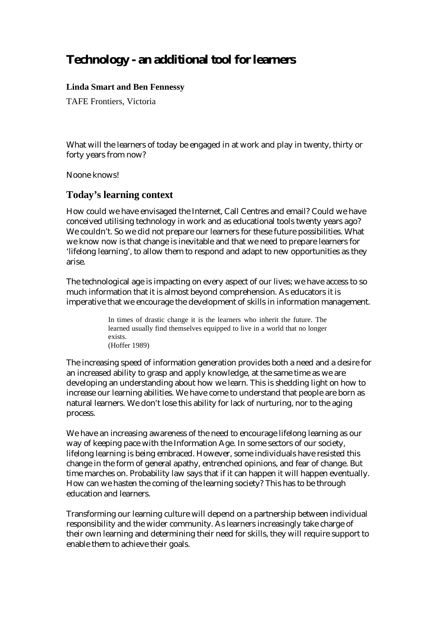# **Technology - an additional tool for learners**

## **Linda Smart and Ben Fennessy**

TAFE Frontiers, Victoria

What will the learners of today be engaged in at work and play in twenty, thirty or forty years from now?

Noone knows!

# **Today's learning context**

How could we have envisaged the Internet, Call Centres and email? Could we have conceived utilising technology in work and as educational tools twenty years ago? We couldn't. So we did not prepare our learners for these future possibilities. What we know now is that change is inevitable and that we need to prepare learners for 'lifelong learning', to allow them to respond and adapt to new opportunities as they arise.

The technological age is impacting on every aspect of our lives; we have access to so much information that it is almost beyond comprehension. As educators it is imperative that we encourage the development of skills in information management.

> In times of drastic change it is the learners who inherit the future. The learned usually find themselves equipped to live in a world that no longer exists. (Hoffer 1989)

The increasing speed of information generation provides both a need and a desire for an increased ability to grasp and apply knowledge, at the same time as we are developing an understanding about how we learn. This is shedding light on how to increase our learning abilities. We have come to understand that people are born as natural learners. We don't lose this ability for lack of nurturing, nor to the aging process.

We have an increasing awareness of the need to encourage lifelong learning as our way of keeping pace with the Information Age. In some sectors of our society, lifelong learning is being embraced. However, some individuals have resisted this change in the form of general apathy, entrenched opinions, and fear of change. But time marches on. Probability law says that if it can happen it will happen eventually. How can we hasten the coming of the learning society? This has to be through education and learners.

Transforming our learning culture will depend on a partnership between individual responsibility and the wider community. As learners increasingly take charge of their own learning and determining their need for skills, they will require support to enable them to achieve their goals.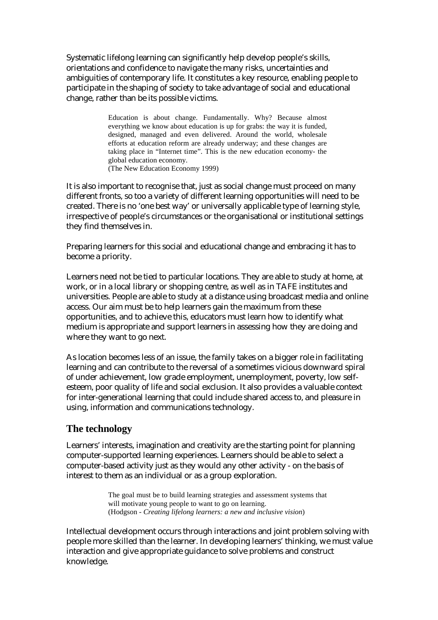Systematic lifelong learning can significantly help develop people's skills, orientations and confidence to navigate the many risks, uncertainties and ambiguities of contemporary life. It constitutes a key resource, enabling people to participate in the shaping of society to take advantage of social and educational change, rather than be its possible victims.

> Education is about change. Fundamentally. Why? Because almost everything we know about education is up for grabs: the way it is funded, designed, managed and even delivered. Around the world, wholesale efforts at education reform are already underway; and these changes are taking place in "Internet time". This is the new education economy- the global education economy. (The New Education Economy 1999)

It is also important to recognise that, just as social change must proceed on many different fronts, so too a variety of different learning opportunities will need to be created. There is no 'one best way' or universally applicable type of learning style, irrespective of people's circumstances or the organisational or institutional settings they find themselves in.

Preparing learners for this social and educational change and embracing it has to become a priority.

Learners need not be tied to particular locations. They are able to study at home, at work, or in a local library or shopping centre, as well as in TAFE institutes and universities. People are able to study at a distance using broadcast media and online access. Our aim must be to help learners gain the maximum from these opportunities, and to achieve this, educators must learn how to identify what medium is appropriate and support learners in assessing how they are doing and where they want to go next.

As location becomes less of an issue, the family takes on a bigger role in facilitating learning and can contribute to the reversal of a sometimes vicious downward spiral of under achievement, low grade employment, unemployment, poverty, low selfesteem, poor quality of life and social exclusion. It also provides a valuable context for inter-generational learning that could include shared access to, and pleasure in using, information and communications technology.

# **The technology**

Learners' interests, imagination and creativity are the starting point for planning computer-supported learning experiences. Learners should be able to select a computer-based activity just as they would any other activity - on the basis of interest to them as an individual or as a group exploration.

> The goal must be to build learning strategies and assessment systems that will motivate young people to want to go on learning. (Hodgson - *Creating lifelong learners: a new and inclusive vision*)

Intellectual development occurs through interactions and joint problem solving with people more skilled than the learner. In developing learners' thinking, we must value interaction and give appropriate guidance to solve problems and construct knowledge.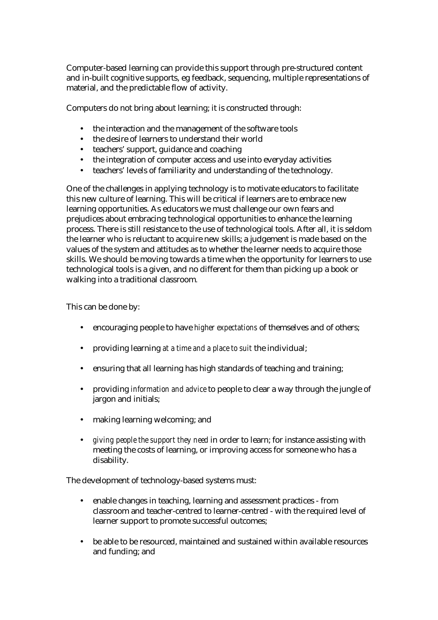Computer-based learning can provide this support through pre-structured content and in-built cognitive supports, eg feedback, sequencing, multiple representations of material, and the predictable flow of activity.

Computers do not bring about learning; it is constructed through:

- the interaction and the management of the software tools
- the desire of learners to understand their world
- teachers' support, guidance and coaching
- the integration of computer access and use into everyday activities
- teachers' levels of familiarity and understanding of the technology.

One of the challenges in applying technology is to motivate educators to facilitate this new culture of learning. This will be critical if learners are to embrace new learning opportunities. As educators we must challenge our own fears and prejudices about embracing technological opportunities to enhance the learning process. There is still resistance to the use of technological tools. After all, it is seldom the learner who is reluctant to acquire new skills; a judgement is made based on the values of the system and attitudes as to whether the learner needs to acquire those skills. We should be moving towards a time when the opportunity for learners to use technological tools is a given, and no different for them than picking up a book or walking into a traditional classroom.

This can be done by:

- encouraging people to have *higher expectations* of themselves and of others;
- providing learning *at a time and a place to suit* the individual;
- ensuring that all learning has high standards of teaching and training;
- providing *information and advice* to people to clear a way through the jungle of jargon and initials;
- making learning welcoming; and
- *giving people the support they need* in order to learn; for instance assisting with meeting the costs of learning, or improving access for someone who has a disability.

The development of technology-based systems must:

- enable changes in teaching, learning and assessment practices from classroom and teacher-centred to learner-centred - with the required level of learner support to promote successful outcomes;
- be able to be resourced, maintained and sustained within available resources and funding; and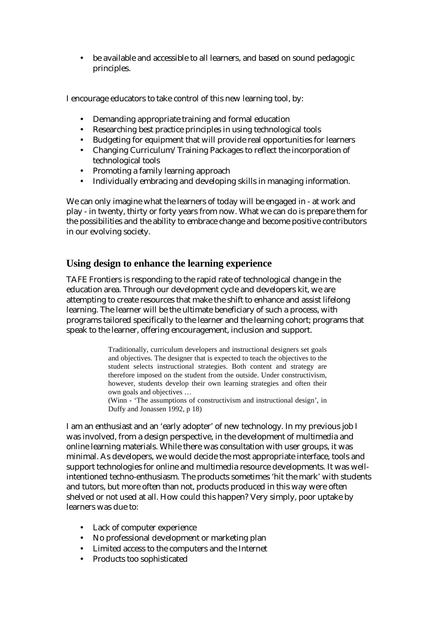be available and accessible to all learners, and based on sound pedagogic principles.

I encourage educators to take control of this new learning tool, by:

- Demanding appropriate training and formal education
- Researching best practice principles in using technological tools
- Budgeting for equipment that will provide real opportunities for learners
- Changing Curriculum/Training Packages to reflect the incorporation of technological tools
- Promoting a family learning approach
- Individually embracing and developing skills in managing information.

We can only imagine what the learners of today will be engaged in - at work and play - in twenty, thirty or forty years from now. What we can do is prepare them for the possibilities and the ability to embrace change and become positive contributors in our evolving society.

# **Using design to enhance the learning experience**

TAFE Frontiers is responding to the rapid rate of technological change in the education area. Through our development cycle and developers kit, we are attempting to create resources that make the shift to enhance and assist lifelong learning. The learner will be the ultimate beneficiary of such a process, with programs tailored specifically to the learner and the learning cohort; programs that speak to the learner, offering encouragement, inclusion and support.

> Traditionally, curriculum developers and instructional designers set goals and objectives. The designer that is expected to teach the objectives to the student selects instructional strategies. Both content and strategy are therefore imposed on the student from the outside. Under constructivism, however, students develop their own learning strategies and often their own goals and objectives …

> (Winn - 'The assumptions of constructivism and instructional design', in Duffy and Jonassen 1992, p 18)

I am an enthusiast and an 'early adopter' of new technology. In my previous job I was involved, from a design perspective, in the development of multimedia and online learning materials. While there was consultation with user groups, it was minimal. As developers, we would decide the most appropriate interface, tools and support technologies for online and multimedia resource developments. It was wellintentioned techno-enthusiasm. The products sometimes 'hit the mark' with students and tutors, but more often than not, products produced in this way were often shelved or not used at all. How could this happen? Very simply, poor uptake by learners was due to:

- Lack of computer experience
- No professional development or marketing plan
- Limited access to the computers and the Internet
- Products too sophisticated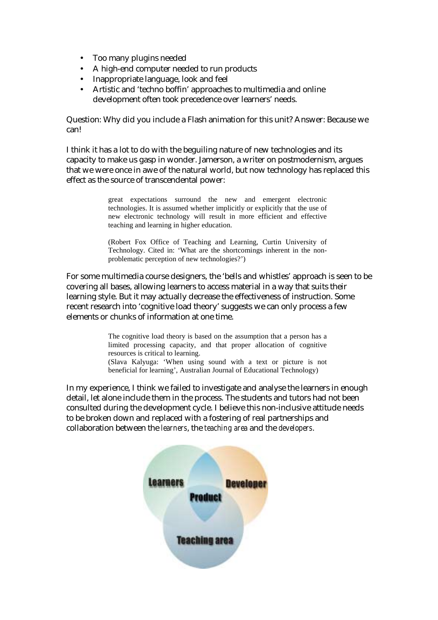- Too many plugins needed
- A high-end computer needed to run products
- Inappropriate language, look and feel
- Artistic and 'techno boffin' approaches to multimedia and online development often took precedence over learners' needs.

Question: Why did you include a Flash animation for this unit? Answer: Because we can!

I think it has a lot to do with the beguiling nature of new technologies and its capacity to make us gasp in wonder. Jamerson, a writer on postmodernism, argues that we were once in awe of the natural world, but now technology has replaced this effect as the source of transcendental power:

> great expectations surround the new and emergent electronic technologies. It is assumed whether implicitly or explicitly that the use of new electronic technology will result in more efficient and effective teaching and learning in higher education.

> (Robert Fox Office of Teaching and Learning, Curtin University of Technology. Cited in: 'What are the shortcomings inherent in the nonproblematic perception of new technologies?')

For some multimedia course designers, the 'bells and whistles' approach is seen to be covering all bases, allowing learners to access material in a way that suits their learning style. But it may actually decrease the effectiveness of instruction. Some recent research into 'cognitive load theory' suggests we can only process a few elements or chunks of information at one time.

> The cognitive load theory is based on the assumption that a person has a limited processing capacity, and that proper allocation of cognitive resources is critical to learning. (Slava Kalyuga: 'When using sound with a text or picture is not beneficial for learning', Australian Journal of Educational Technology)

In my experience, I think we failed to investigate and analyse the learners in enough detail, let alone include them in the process. The students and tutors had not been consulted during the development cycle. I believe this non-inclusive attitude needs to be broken down and replaced with a fostering of real partnerships and collaboration between the *learners*, the *teaching area* and the *developers*.

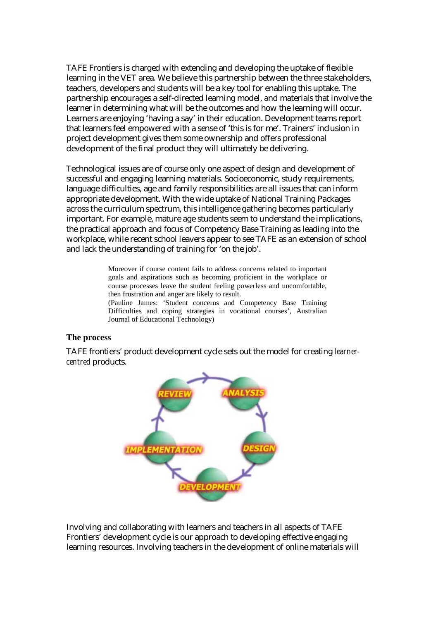TAFE Frontiers is charged with extending and developing the uptake of flexible learning in the VET area. We believe this partnership between the three stakeholders, teachers, developers and students will be a key tool for enabling this uptake. The partnership encourages a self-directed learning model, and materials that involve the learner in determining what will be the outcomes and how the learning will occur. Learners are enjoying 'having a say' in their education. Development teams report that learners feel empowered with a sense of 'this is for me'. Trainers' inclusion in project development gives them some ownership and offers professional development of the final product they will ultimately be delivering.

Technological issues are of course only one aspect of design and development of successful and engaging learning materials. Socioeconomic, study requirements, language difficulties, age and family responsibilities are all issues that can inform appropriate development. With the wide uptake of National Training Packages across the curriculum spectrum, this intelligence gathering becomes particularly important. For example, mature age students seem to understand the implications, the practical approach and focus of Competency Base Training as leading into the workplace, while recent school leavers appear to see TAFE as an extension of school and lack the understanding of training for 'on the job'.

> Moreover if course content fails to address concerns related to important goals and aspirations such as becoming proficient in the workplace or course processes leave the student feeling powerless and uncomfortable, then frustration and anger are likely to result. (Pauline James: 'Student concerns and Competency Base Training Difficulties and coping strategies in vocational courses', Australian Journal of Educational Technology)

## **The process**

TAFE frontiers' product development cycle sets out the model for creating *learnercentred* products.



Involving and collaborating with learners and teachers in all aspects of TAFE Frontiers' development cycle is our approach to developing effective engaging learning resources. Involving teachers in the development of online materials will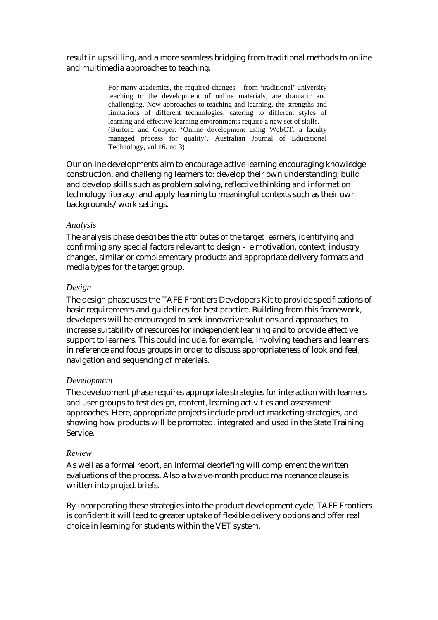result in upskilling, and a more seamless bridging from traditional methods to online and multimedia approaches to teaching.

> For many academics, the required changes – from 'traditional' university teaching to the development of online materials, are dramatic and challenging. New approaches to teaching and learning, the strengths and limitations of different technologies, catering to different styles of learning and effective learning environments require a new set of skills. (Burford and Cooper: 'Online development using WebCT: a faculty managed process for quality', Australian Journal of Educational Technology, vol 16, no 3)

Our online developments aim to encourage active learning encouraging knowledge construction, and challenging learners to: develop their own understanding; build and develop skills such as problem solving, reflective thinking and information technology literacy; and apply learning to meaningful contexts such as their own backgrounds/work settings.

#### *Analysis*

The analysis phase describes the attributes of the target learners, identifying and confirming any special factors relevant to design - ie motivation, context, industry changes, similar or complementary products and appropriate delivery formats and media types for the target group.

#### *Design*

The design phase uses the TAFE Frontiers Developers Kit to provide specifications of basic requirements and guidelines for best practice. Building from this framework, developers will be encouraged to seek innovative solutions and approaches, to increase suitability of resources for independent learning and to provide effective support to learners. This could include, for example, involving teachers and learners in reference and focus groups in order to discuss appropriateness of look and feel, navigation and sequencing of materials.

## *Development*

The development phase requires appropriate strategies for interaction with learners and user groups to test design, content, learning activities and assessment approaches. Here, appropriate projects include product marketing strategies, and showing how products will be promoted, integrated and used in the State Training Service.

## *Review*

As well as a formal report, an informal debriefing will complement the written evaluations of the process. Also a twelve-month product maintenance clause is written into project briefs.

By incorporating these strategies into the product development cycle, TAFE Frontiers is confident it will lead to greater uptake of flexible delivery options and offer real choice in learning for students within the VET system.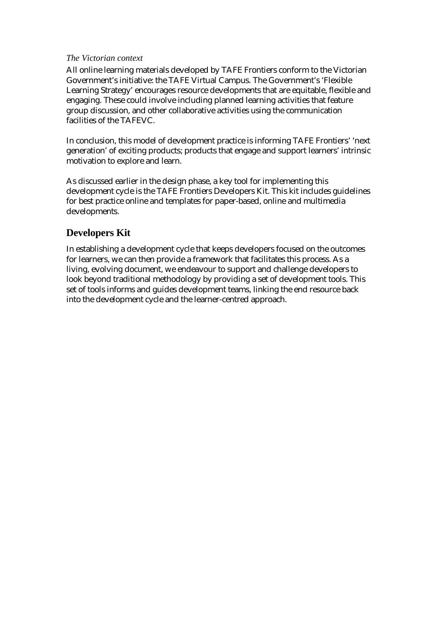#### *The Victorian context*

All online learning materials developed by TAFE Frontiers conform to the Victorian Government's initiative: the TAFE Virtual Campus. The Government's 'Flexible Learning Strategy' encourages resource developments that are equitable, flexible and engaging. These could involve including planned learning activities that feature group discussion, and other collaborative activities using the communication facilities of the TAFEVC.

In conclusion, this model of development practice is informing TAFE Frontiers' 'next generation' of exciting products; products that engage and support learners' intrinsic motivation to explore and learn.

As discussed earlier in the design phase, a key tool for implementing this development cycle is the TAFE Frontiers Developers Kit. This kit includes guidelines for best practice online and templates for paper-based, online and multimedia developments.

# **Developers Kit**

In establishing a development cycle that keeps developers focused on the outcomes for learners, we can then provide a framework that facilitates this process. As a living, evolving document, we endeavour to support and challenge developers to look beyond traditional methodology by providing a set of development tools. This set of tools informs and guides development teams, linking the end resource back into the development cycle and the learner-centred approach.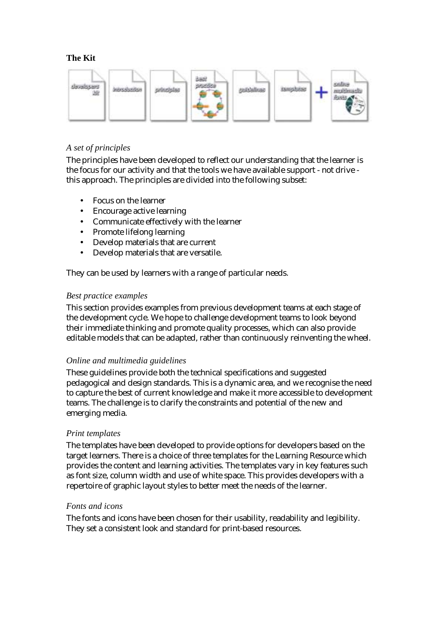## **The Kit**



# *A set of principles*

The principles have been developed to reflect our understanding that the learner is the focus for our activity and that the tools we have available support - not drive this approach. The principles are divided into the following subset:

- Focus on the learner
- Encourage active learning
- Communicate effectively with the learner
- Promote lifelong learning
- Develop materials that are current
- Develop materials that are versatile.

They can be used by learners with a range of particular needs.

## *Best practice examples*

This section provides examples from previous development teams at each stage of the development cycle. We hope to challenge development teams to look beyond their immediate thinking and promote quality processes, which can also provide editable models that can be adapted, rather than continuously reinventing the wheel.

## *Online and multimedia guidelines*

These guidelines provide both the technical specifications and suggested pedagogical and design standards. This is a dynamic area, and we recognise the need to capture the best of current knowledge and make it more accessible to development teams. The challenge is to clarify the constraints and potential of the new and emerging media.

## *Print templates*

The templates have been developed to provide options for developers based on the target learners. There is a choice of three templates for the Learning Resource which provides the content and learning activities. The templates vary in key features such as font size, column width and use of white space. This provides developers with a repertoire of graphic layout styles to better meet the needs of the learner.

## *Fonts and icons*

The fonts and icons have been chosen for their usability, readability and legibility. They set a consistent look and standard for print-based resources.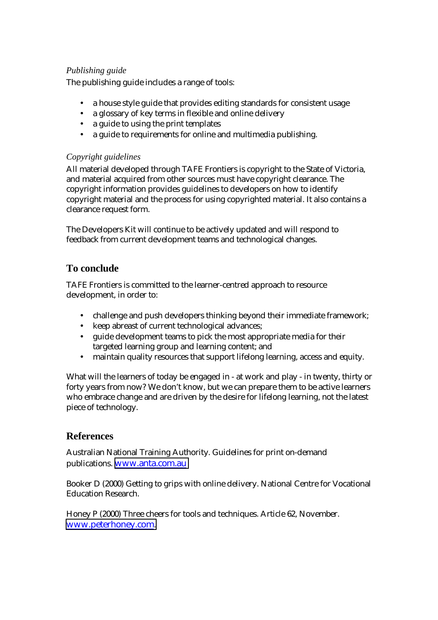# *Publishing guide*

The publishing guide includes a range of tools:

- a house style guide that provides editing standards for consistent usage
- a glossary of key terms in flexible and online delivery
- a guide to using the print templates
- a guide to requirements for online and multimedia publishing.

# *Copyright guidelines*

All material developed through TAFE Frontiers is copyright to the State of Victoria, and material acquired from other sources must have copyright clearance. The copyright information provides guidelines to developers on how to identify copyright material and the process for using copyrighted material. It also contains a clearance request form.

The Developers Kit will continue to be actively updated and will respond to feedback from current development teams and technological changes.

# **To conclude**

TAFE Frontiers is committed to the learner-centred approach to resource development, in order to:

- challenge and push developers thinking beyond their immediate framework;
- keep abreast of current technological advances;
- guide development teams to pick the most appropriate media for their targeted learning group and learning content; and
- maintain quality resources that support lifelong learning, access and equity.

What will the learners of today be engaged in - at work and play - in twenty, thirty or forty years from now? We don't know, but we can prepare them to be active learners who embrace change and are driven by the desire for lifelong learning, not the latest piece of technology.

# **References**

Australian National Training Authority. Guidelines for print on-demand publications. [www.anta.com.au](http://www.anta.com.au/) 

Booker D (2000) Getting to grips with online delivery. National Centre for Vocational Education Research.

Honey P (2000) Three cheers for tools and techniques. Article 62, November. [www.peterhoney.com.](http://www.peterhoney.com/)